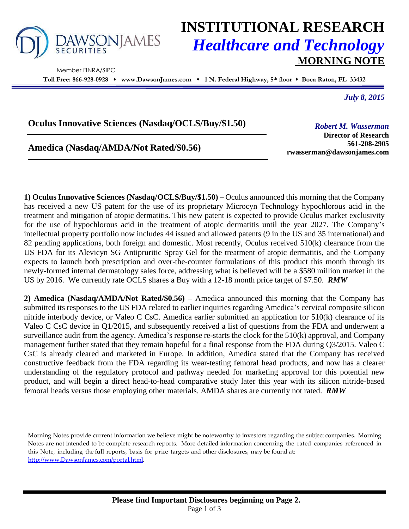

Member FINRA/SIPC

# **INSTITUTIONAL RESEARCH** *Healthcare and Technology* **MORNING NOTE**

**Toll Free: 866-928-0928 www.DawsonJames.com 1 N. Federal Highway, 5 th floor Boca Raton, FL 33432**

*July 8, 2015*

## **Oculus Innovative Sciences (Nasdaq/OCLS/Buy/\$1.50)**

**Amedica (Nasdaq/AMDA/Not Rated/\$0.56)**

*Robert M. Wasserman* **Director of Research**

**561-208-2905 rwasserman@dawsonjames.com**

**1) Oculus Innovative Sciences (Nasdaq/OCLS/Buy/\$1.50) –** Oculus announced this morning that the Company has received a new US patent for the use of its proprietary Microcyn Technology hypochlorous acid in the treatment and mitigation of atopic dermatitis. This new patent is expected to provide Oculus market exclusivity for the use of hypochlorous acid in the treatment of atopic dermatitis until the year 2027. The Company's intellectual property portfolio now includes 44 issued and allowed patents (9 in the US and 35 international) and 82 pending applications, both foreign and domestic. Most recently, Oculus received 510(k) clearance from the US FDA for its Alevicyn SG Antipruritic Spray Gel for the treatment of atopic dermatitis, and the Company expects to launch both prescription and over-the-counter formulations of this product this month through its newly-formed internal dermatology sales force, addressing what is believed will be a \$580 million market in the US by 2016. We currently rate OCLS shares a Buy with a 12-18 month price target of \$7.50. *RMW*

**2) Amedica (Nasdaq/AMDA/Not Rated/\$0.56) –** Amedica announced this morning that the Company has submitted its responses to the US FDA related to earlier inquiries regarding Amedica's cervical composite silicon nitride interbody device, or Valeo C CsC. Amedica earlier submitted an application for 510(k) clearance of its Valeo C CsC device in Q1/2015, and subsequently received a list of questions from the FDA and underwent a surveillance audit from the agency. Amedica's response re-starts the clock for the 510(k) approval, and Company management further stated that they remain hopeful for a final response from the FDA during Q3/2015. Valeo C CsC is already cleared and marketed in Europe. In addition, Amedica stated that the Company has received constructive feedback from the FDA regarding its wear-testing femoral head products, and now has a clearer understanding of the regulatory protocol and pathway needed for marketing approval for this potential new product, and will begin a direct head-to-head comparative study later this year with its silicon nitride-based femoral heads versus those employing other materials. AMDA shares are currently not rated. *RMW*

Morning Notes provide current information we believe might be noteworthy to investors regarding the subject companies. Morning Notes are not intended to be complete research reports. More detailed information concerning the rated companies referenced in this Note, including the full reports, basis for price targets and other disclosures, may be found at: [http://www.DawsonJames.com/portal.html.](http://www.dawsonjames.com/portal.html)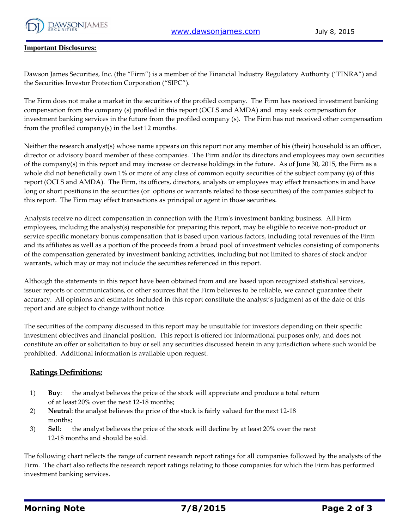

#### **Important Disclosures:**

Dawson James Securities, Inc. (the "Firm") is a member of the Financial Industry Regulatory Authority ("FINRA") and the Securities Investor Protection Corporation ("SIPC").

The Firm does not make a market in the securities of the profiled company. The Firm has received investment banking compensation from the company (s) profiled in this report (OCLS and AMDA) and may seek compensation for investment banking services in the future from the profiled company (s). The Firm has not received other compensation from the profiled company(s) in the last 12 months.

Neither the research analyst(s) whose name appears on this report nor any member of his (their) household is an officer, director or advisory board member of these companies. The Firm and/or its directors and employees may own securities of the company(s) in this report and may increase or decrease holdings in the future. As of June 30, 2015, the Firm as a whole did not beneficially own 1% or more of any class of common equity securities of the subject company (s) of this report (OCLS and AMDA). The Firm, its officers, directors, analysts or employees may effect transactions in and have long or short positions in the securities (or options or warrants related to those securities) of the companies subject to this report. The Firm may effect transactions as principal or agent in those securities.

Analysts receive no direct compensation in connection with the Firm's investment banking business. All Firm employees, including the analyst(s) responsible for preparing this report, may be eligible to receive non-product or service specific monetary bonus compensation that is based upon various factors, including total revenues of the Firm and its affiliates as well as a portion of the proceeds from a broad pool of investment vehicles consisting of components of the compensation generated by investment banking activities, including but not limited to shares of stock and/or warrants, which may or may not include the securities referenced in this report.

Although the statements in this report have been obtained from and are based upon recognized statistical services, issuer reports or communications, or other sources that the Firm believes to be reliable, we cannot guarantee their accuracy. All opinions and estimates included in this report constitute the analyst's judgment as of the date of this report and are subject to change without notice.

The securities of the company discussed in this report may be unsuitable for investors depending on their specific investment objectives and financial position. This report is offered for informational purposes only, and does not constitute an offer or solicitation to buy or sell any securities discussed herein in any jurisdiction where such would be prohibited. Additional information is available upon request.

### **Ratings Definitions:**

- 1) **Buy**: the analyst believes the price of the stock will appreciate and produce a total return of at least 20% over the next 12-18 months;
- 2) **Neutra**l: the analyst believes the price of the stock is fairly valued for the next 12-18 months;
- 3) **Sel**l: the analyst believes the price of the stock will decline by at least 20% over the next 12-18 months and should be sold.

The following chart reflects the range of current research report ratings for all companies followed by the analysts of the Firm. The chart also reflects the research report ratings relating to those companies for which the Firm has performed investment banking services.